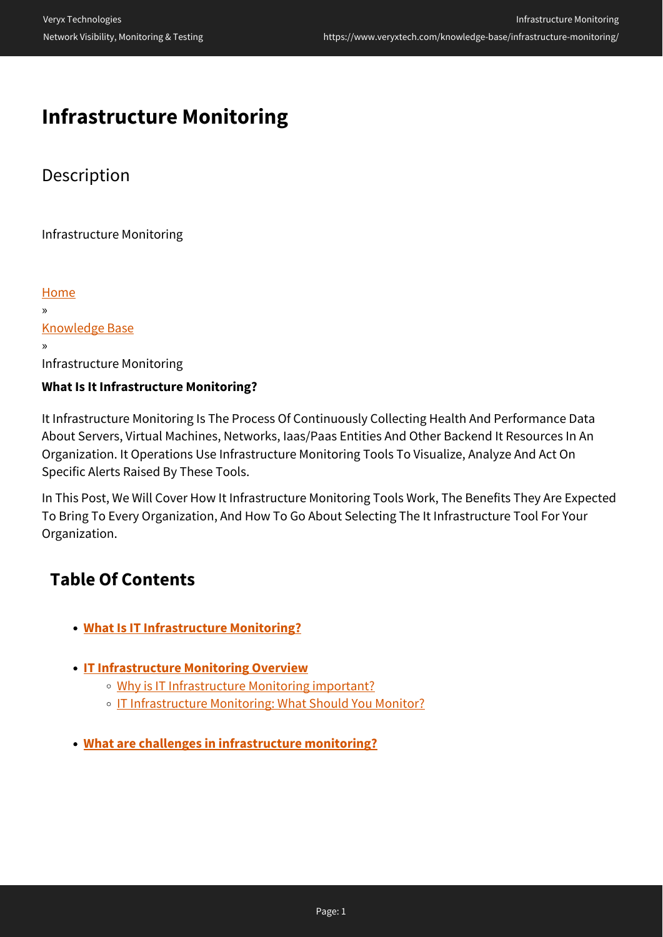# **Infrastructure Monitoring**

# **Description**

Infrastructure Monitoring

[Home](https://www.veryxtech.com) » [Knowledge Base](https://www.veryxtech.com/knowledge-base/) » Infrastructure Monitoring **What Is It Infrastructure Monitoring?**

It Infrastructure Monitoring Is The Process Of Continuously Collecting Health And Performance Data About Servers, Virtual Machines, Networks, Iaas/Paas Entities And Other Backend It Resources In An Organization. It Operations Use Infrastructure Monitoring Tools To Visualize, Analyze And Act On Specific Alerts Raised By These Tools.

In This Post, We Will Cover How It Infrastructure Monitoring Tools Work, The Benefits They Are Expected To Bring To Every Organization, And How To Go About Selecting The It Infrastructure Tool For Your Organization.

# **Table Of Contents**

- **[What Is IT Infrastructure Monitoring?](https://www.veryxtech.com/knowledge-base/infrastructure-monitoring/#definition)**
- **[IT Infrastructure Monitoring Overview](https://www.veryxtech.com/knowledge-base/infrastructure-monitoring/#overview)**
	- [Why is IT Infrastructure Monitoring important?](https://www.veryxtech.com/knowledge-base/infrastructure-monitoring/#important)
	- o [IT Infrastructure Monitoring: What Should You Monitor?](https://www.veryxtech.com/knowledge-base/infrastructure-monitoring/#methods)
- **[What are challenges in infrastructure monitoring?](https://www.veryxtech.com/knowledge-base/infrastructure-monitoring/#challenges)**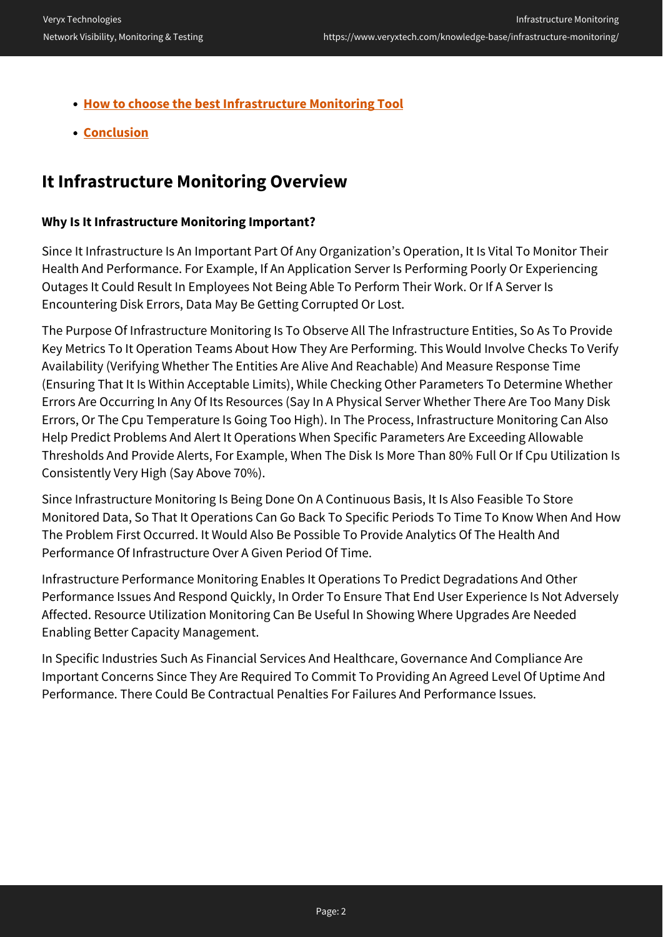- **[How to choose the best Infrastructure Monitoring Tool](https://www.veryxtech.com/knowledge-base/infrastructure-monitoring/#tools)**
- **[Conclusion](https://www.veryxtech.com/knowledge-base/infrastructure-monitoring/#conclusion)**

### **It Infrastructure Monitoring Overview**

#### **Why Is It Infrastructure Monitoring Important?**

Since It Infrastructure Is An Important Part Of Any Organization's Operation, It Is Vital To Monitor Their Health And Performance. For Example, If An Application Server Is Performing Poorly Or Experiencing Outages It Could Result In Employees Not Being Able To Perform Their Work. Or If A Server Is Encountering Disk Errors, Data May Be Getting Corrupted Or Lost.

The Purpose Of Infrastructure Monitoring Is To Observe All The Infrastructure Entities, So As To Provide Key Metrics To It Operation Teams About How They Are Performing. This Would Involve Checks To Verify Availability (Verifying Whether The Entities Are Alive And Reachable) And Measure Response Time (Ensuring That It Is Within Acceptable Limits), While Checking Other Parameters To Determine Whether Errors Are Occurring In Any Of Its Resources (Say In A Physical Server Whether There Are Too Many Disk Errors, Or The Cpu Temperature Is Going Too High). In The Process, Infrastructure Monitoring Can Also Help Predict Problems And Alert It Operations When Specific Parameters Are Exceeding Allowable Thresholds And Provide Alerts, For Example, When The Disk Is More Than 80% Full Or If Cpu Utilization Is Consistently Very High (Say Above 70%).

Since Infrastructure Monitoring Is Being Done On A Continuous Basis, It Is Also Feasible To Store Monitored Data, So That It Operations Can Go Back To Specific Periods To Time To Know When And How The Problem First Occurred. It Would Also Be Possible To Provide Analytics Of The Health And Performance Of Infrastructure Over A Given Period Of Time.

Infrastructure Performance Monitoring Enables It Operations To Predict Degradations And Other Performance Issues And Respond Quickly, In Order To Ensure That End User Experience Is Not Adversely Affected. Resource Utilization Monitoring Can Be Useful In Showing Where Upgrades Are Needed Enabling Better Capacity Management.

In Specific Industries Such As Financial Services And Healthcare, Governance And Compliance Are Important Concerns Since They Are Required To Commit To Providing An Agreed Level Of Uptime And Performance. There Could Be Contractual Penalties For Failures And Performance Issues.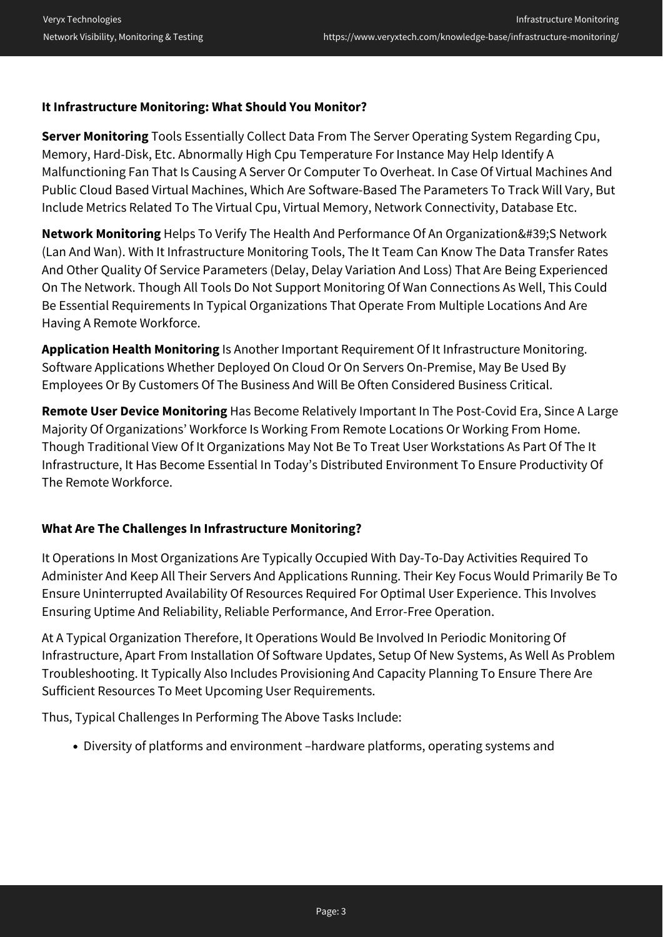#### **It Infrastructure Monitoring: What Should You Monitor?**

**Server Monitoring** Tools Essentially Collect Data From The Server Operating System Regarding Cpu, Memory, Hard-Disk, Etc. Abnormally High Cpu Temperature For Instance May Help Identify A Malfunctioning Fan That Is Causing A Server Or Computer To Overheat. In Case Of Virtual Machines And Public Cloud Based Virtual Machines, Which Are Software-Based The Parameters To Track Will Vary, But Include Metrics Related To The Virtual Cpu, Virtual Memory, Network Connectivity, Database Etc.

**Network Monitoring** Helps To Verify The Health And Performance Of An Organization'S Network (Lan And Wan). With It Infrastructure Monitoring Tools, The It Team Can Know The Data Transfer Rates And Other Quality Of Service Parameters (Delay, Delay Variation And Loss) That Are Being Experienced On The Network. Though All Tools Do Not Support Monitoring Of Wan Connections As Well, This Could Be Essential Requirements In Typical Organizations That Operate From Multiple Locations And Are Having A Remote Workforce.

**Application Health Monitoring** Is Another Important Requirement Of It Infrastructure Monitoring. Software Applications Whether Deployed On Cloud Or On Servers On-Premise, May Be Used By Employees Or By Customers Of The Business And Will Be Often Considered Business Critical.

**Remote User Device Monitoring** Has Become Relatively Important In The Post-Covid Era, Since A Large Majority Of Organizations' Workforce Is Working From Remote Locations Or Working From Home. Though Traditional View Of It Organizations May Not Be To Treat User Workstations As Part Of The It Infrastructure, It Has Become Essential In Today's Distributed Environment To Ensure Productivity Of The Remote Workforce.

#### **What Are The Challenges In Infrastructure Monitoring?**

It Operations In Most Organizations Are Typically Occupied With Day-To-Day Activities Required To Administer And Keep All Their Servers And Applications Running. Their Key Focus Would Primarily Be To Ensure Uninterrupted Availability Of Resources Required For Optimal User Experience. This Involves Ensuring Uptime And Reliability, Reliable Performance, And Error-Free Operation.

At A Typical Organization Therefore, It Operations Would Be Involved In Periodic Monitoring Of Infrastructure, Apart From Installation Of Software Updates, Setup Of New Systems, As Well As Problem Troubleshooting. It Typically Also Includes Provisioning And Capacity Planning To Ensure There Are Sufficient Resources To Meet Upcoming User Requirements.

Thus, Typical Challenges In Performing The Above Tasks Include:

Diversity of platforms and environment –hardware platforms, operating systems and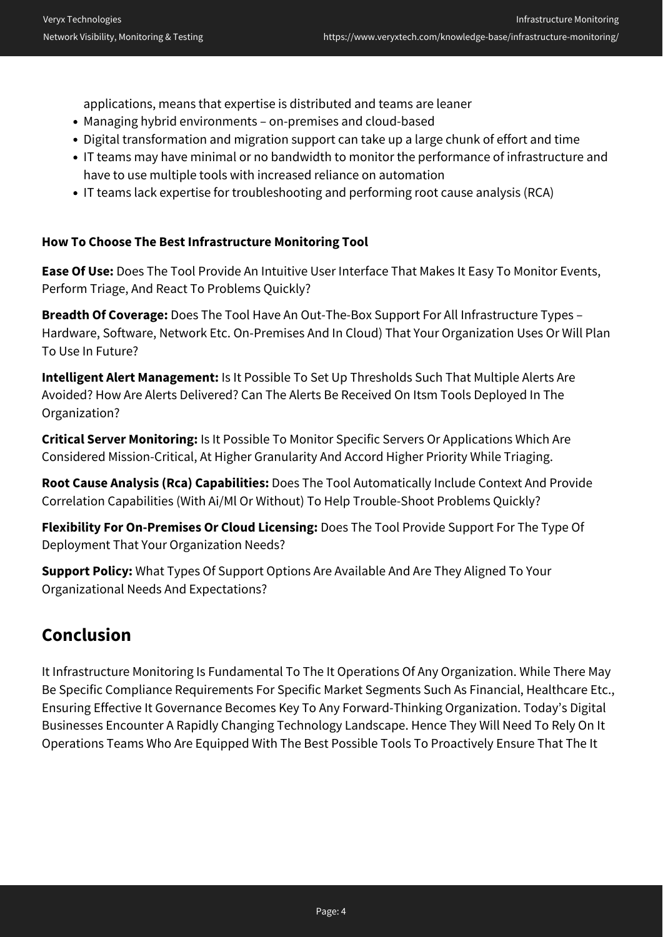applications, means that expertise is distributed and teams are leaner

- Managing hybrid environments on-premises and cloud-based
- Digital transformation and migration support can take up a large chunk of effort and time
- IT teams may have minimal or no bandwidth to monitor the performance of infrastructure and have to use multiple tools with increased reliance on automation
- IT teams lack expertise for troubleshooting and performing root cause analysis (RCA)

#### **How To Choose The Best Infrastructure Monitoring Tool**

**Ease Of Use:** Does The Tool Provide An Intuitive User Interface That Makes It Easy To Monitor Events, Perform Triage, And React To Problems Quickly?

**Breadth Of Coverage:** Does The Tool Have An Out-The-Box Support For All Infrastructure Types – Hardware, Software, Network Etc. On-Premises And In Cloud) That Your Organization Uses Or Will Plan To Use In Future?

**Intelligent Alert Management:** Is It Possible To Set Up Thresholds Such That Multiple Alerts Are Avoided? How Are Alerts Delivered? Can The Alerts Be Received On Itsm Tools Deployed In The Organization?

**Critical Server Monitoring:** Is It Possible To Monitor Specific Servers Or Applications Which Are Considered Mission-Critical, At Higher Granularity And Accord Higher Priority While Triaging.

**Root Cause Analysis (Rca) Capabilities:** Does The Tool Automatically Include Context And Provide Correlation Capabilities (With Ai/Ml Or Without) To Help Trouble-Shoot Problems Quickly?

**Flexibility For On-Premises Or Cloud Licensing:** Does The Tool Provide Support For The Type Of Deployment That Your Organization Needs?

**Support Policy:** What Types Of Support Options Are Available And Are They Aligned To Your Organizational Needs And Expectations?

## **Conclusion**

It Infrastructure Monitoring Is Fundamental To The It Operations Of Any Organization. While There May Be Specific Compliance Requirements For Specific Market Segments Such As Financial, Healthcare Etc., Ensuring Effective It Governance Becomes Key To Any Forward-Thinking Organization. Today's Digital Businesses Encounter A Rapidly Changing Technology Landscape. Hence They Will Need To Rely On It Operations Teams Who Are Equipped With The Best Possible Tools To Proactively Ensure That The It